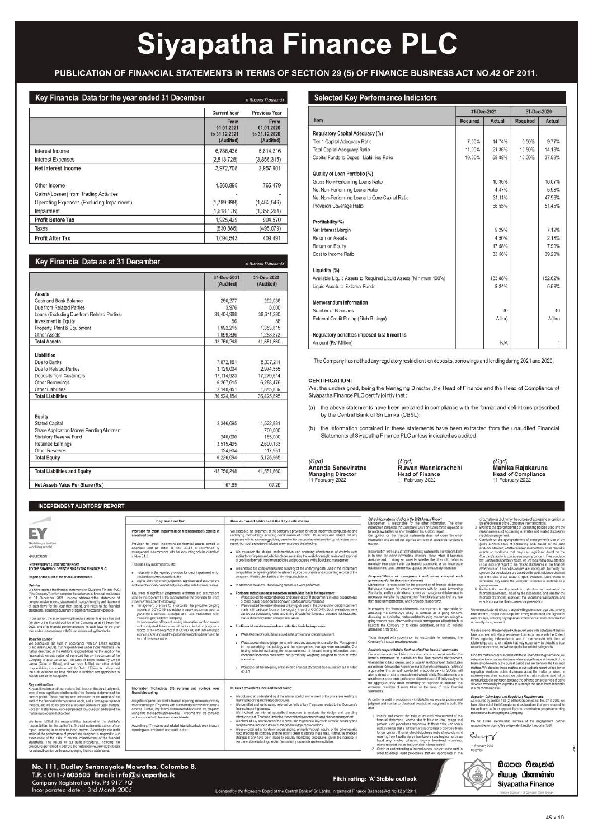# **Siyapatha Finance PLC**

PUBLICATION OF FINANCIAL STATEMENTS IN TERMS OF SECTION 29 (5) OF FINANCE BUSINESS ACT NO.42 OF 2011.

| Key Financial Data for the year ended 31 December<br>In Rupees Thousands |                                                  |                                                  |
|--------------------------------------------------------------------------|--------------------------------------------------|--------------------------------------------------|
|                                                                          | <b>Current Year</b>                              | <b>Previous Year</b>                             |
|                                                                          | From<br>01.01.2021<br>to 31.12.2021<br>(Audited) | From<br>01.01.2020<br>to 31.12.2020<br>(Audited) |
| Interest Income                                                          | 6.786,436                                        | 6.814.216                                        |
| Interest Expenses                                                        | (2,813,728)                                      | (3,856,315)                                      |
| Net Interest Income                                                      | 3.972.708                                        | 2,957,901                                        |
| Other Income                                                             | 1,360,895                                        | 765,479                                          |
| Gains/(Losses) from Trading Activities                                   |                                                  |                                                  |
| Operating Expenses (Excluding Impairment)                                | (1,789,998)                                      | (1,462,546)                                      |
| Impairment                                                               | (1,618,176)                                      | (1.356.264)                                      |
| <b>Profit Before Tax</b>                                                 | 1,925,429                                        | 904.570                                          |
| Taxes                                                                    | (830.886)                                        | (495.079)                                        |
| <b>Profit After Tax</b>                                                  | 1.094,543                                        | 409.491                                          |

| Key Financial Data as at 31 December       |                          | In Rupees Thousands      |
|--------------------------------------------|--------------------------|--------------------------|
|                                            | 31-Dec-2021<br>(Audited) | 31-Dec-2020<br>(Audited) |
| Assets                                     |                          |                          |
| Cash and Bank Balance                      | 250,277                  | 292.036                  |
| Due from Related Parties                   | 3.976                    | 5.600                    |
| Loans (Excluding Due from Related Parties) | 39.404.388               | 38.611.280               |
| Investment in Equity                       | 56                       | 56                       |
| Property, Plant & Equipment                | 1,992.215                | 1.353.815                |
| Other Assets                               | 1,099.336                | 1,288,873                |
| <b>Total Assets</b>                        | 42.750.248               | 41,551,660               |
| Liabilities                                |                          |                          |
| Due to Banks                               | 7,872,161                | 8.037.211                |
| Due to Related Parties                     | 3.129.004                | 2.974.555                |
| Deposits from Customers                    | 17.114.923               | 17.279.614               |
| Other Borrowings                           | 6,267,615                | 6,288,476                |
| Other Liabilities                          | 2,140,451                | 1.845.839                |
| <b>Total Liabilities</b>                   | 36,524,154               | 36.425.695               |
|                                            |                          |                          |
| Equity<br><b>Stated Capital</b>            | 2,346,095                | 1,522,881                |
| Share Application Money Pending Allotment  |                          | 700.000                  |
| Statutory Reserve Fund                     | 240,000                  | 185,000                  |
| <b>Retained Earnings</b>                   | 3.515.495                | 2.600.133                |
| Other Reserves                             | 124.504                  | 117,951                  |
| <b>Total Equity</b>                        | 6,226,094                | 5.125.965                |
|                                            |                          |                          |
| <b>Total Liabilities and Equity</b>        | 42,750,248               | 41,551,660               |
| Net Assets Value Per Share (Rs.)           | 67.69                    | 67.26                    |

### **INDEPENDENT AUDITORS' REPORT**

EY Building a better<br>working world

**HAAVEROM** 

INDEPENDENT AUDITORS' REPORT<br>TO THE SHAREHOLDERS OF SIYAPATHA FINANCE PLC

### ort on the audit of the financial statements.

Ophision<br>
- Ophision audited the financial statements of Siyasotha Finance PLC<br>
We have audited the financial statements of francast position as<br>
comparables moons, situations the statements of any considerable moons, situ

In our opinion, the scooringsrying financial statements gives a love and<br>fair view of the Trancial position of the Company as at 31 December<br>2021, and of its financial portomanon and its cash flows hir the year<br>then ended

et entrepreneurs.<br>
surface products and the according of the film and Auditing in the conducted currency. The conduction of the<br>
detection of the surface of the conduction of the film of the conduction<br>
and the conduction

From and matters as these multims that, in our probability independent in the same of most significantly in the audit of the framework set the same of most significant control in the control of the control of the control

We have fulfilled the responsibilities described in the Auditor's responsibilities for the auditor's form and statements sendered and the model of a responsibility in and model the preference of procedures described as th

- How our audit addressed the key audit matter Key audit matter We assessed the alignment of the company's provision for credit impairment computations and<br>underlying methodology including consideration of COVID-19 impacts and related industry<br>response with its accounting patience, ba Provision for credit impairment on financial assets carried at ision for credit impairment on financial assets<br>intised cost as stated in Note 40.4.1 is determined cost as stated in Note 40.4.1 is determined We evaluated the design, implementation and operating affectiveness of controls<br>instituted the design, implementation and operating affectiveness of controls<br>of provision for credit must meet policies and procedures by th management<br>in Note 3.1.8 This was a key auditmater due to: .<br>We chooked the complemense and accuracy of the underlying data used in the impalment computation by agreeing details to relevent source documents and accounting records of the<br>company. We also checked the underlying calc - materiality of the reported provision for oredri impairment which<br>involved complex calculations, and<br> $\bullet$  degrad of management judgement, agenticance of assumptions<br>and level of estimation uncertainty associated with it . In addition to the above, the following procedures were performed:  $\blacksquare$  For leans and advances assessed on an individual basis for impoiment: While assessed on a minimidividual basis for impoiment: and our discussions and three interpretations of the property of the property interpreta
- er were of starting the system and systems of the system of systems and systems are a system of the system of the system of the system of the system of the system of the system of the system of the system of the system of
	-

Information Technology (IT) systems and controls over<br>financial reporting

# $\label{thm:main} A significant part of the client first case is pointing to cases in primary relation. In addition, for the first example, if a given is which are considered. In other words, Further details, we show that the same graph is the same, then the first example is not approach by if a system, that are completed and immediately are used to be considered.$

.<br>Accordingly, IT systems and related internal controls over financial<br>teconfing was considered also caudit matter.

We assessed whether judgements, extinuits and assumptions used by the Management in the underlying mathodology and the management overlays were materialle. Our leading houlded in available the management overlays promotio . We assessed the adequacy of the related financial statement disclosures set out in notes (a) 4.1

For financial assets assessed on a collective basis for impairment.

. We tested the key calculations used in the provision for crediting eigment

## Our audit procedures included the following:

- of wordstreak an understanding of the internal control energy energy and the processes relating to the state internal control energy constrained of the processes relating to the constraint of the process of the constraint
- 

| <b>Selected Key Performance Indicators</b> |  |
|--------------------------------------------|--|
|                                            |  |

|                                                                  |          | 31-Dec-2021 |                 | 31-Dec-2020 |  |
|------------------------------------------------------------------|----------|-------------|-----------------|-------------|--|
| Item                                                             | Required | Actual      | <b>Required</b> | Actual      |  |
| Regulatory Capital Adequacy (%)                                  |          |             |                 |             |  |
| Tier 1 Capital Adequacy Ratio                                    | 7.00%    | 14.74%      | 6.50%           | 9.77%       |  |
| Total Capital Adequacy Ratio                                     | 11.00%   | 21.36%      | 10.50%          | 14.18%      |  |
| Capital Funds to Deposit Liabilities Ratio                       | 10.00%   | 58.88%      | 10.00%          | 37.59%      |  |
| Quality of Loan Portfolio (%)                                    |          |             |                 |             |  |
| Gross Non-Performing Loans Ratio                                 |          | 16.30%      |                 | 18.07%      |  |
| Net Non-Performing Loans Ratio                                   |          | 4.47%       |                 | 5.98%       |  |
| Net Non-Performing Loans to Core Capital Ratio                   |          | 31.11%      |                 | 47.93%      |  |
| Provision Coverage Ratio                                         |          | 56.55%      |                 | 51.45%      |  |
| Profitability(%)                                                 |          |             |                 |             |  |
| Net Interest Margin                                              |          | 9.29%       |                 | 7.12%       |  |
| Return on Assets                                                 |          | 4.50%       |                 | 2.18%       |  |
| Return on Equity                                                 |          | 17.58%      |                 | 7.99%       |  |
| Cost to Income Ratio                                             |          | 33.56%      |                 | 39.28%      |  |
| Liquidity (%)                                                    |          |             |                 |             |  |
| Available Liquid Assets to Required Liquid Assets (Minimum 100%) |          | 133.88%     |                 | 152.62%     |  |
| Liquid Assets to External Funds                                  |          | 8.24%       |                 | 5.58%       |  |
| Memorandum Information                                           |          |             |                 |             |  |
| Number of Branches                                               |          | 40          |                 | 40          |  |
| External Credit Rating (Fitch Ratings)                           |          | A(Ika)      |                 | A(lka)      |  |
| Regulatory penalties imposed last 6 months                       |          |             |                 |             |  |
| Amount (Rs' Million)                                             |          | <b>N/A</b>  |                 | 1           |  |

The Company has not had any regulatory restrictions on deposits, borrowings and lending during 2021 and 2020.

### **CERTIFICATION:**

We, the undersigned, being the Managing Director , the Head of Finance and the Head of Compliance of Siyapatha Finance PLC certify jointly that;

- (a) the above statements have been prepared in compliance with the format and definitions prescribed by the Central Bank of Sri Lanka (CBSL);
- (b) the information contained in these statements have been extracted from the unaudited Financial Statements of Sivapatha Finance PLC unless indicated as audited.

(Sad) (*Sgu)*<br>Ananda Seneviratne<br>Managing Director<br>11 February 2022  $(Sad)$ Ruwan Wanniarachchi **Head of Finance** 11 February 2022

*(Sgd)*<br>Mahika Rajakaruna Head of Compliance<br>11 February 2022

ces, but not for the purpose of expressing an opinion or

circularization, but with the paperson of the presentation of the distribution of the company of the company of the company of the company of the company of the company of the company of the company of the company of the

communicate with those changed with governance regarding , among<br>I matters, the planned scope and timing of the audit and eignificant<br>Khridmay, including any injurificant deficiencies in internal control that<br>deetity durin

We also provide those charged with governance with a statement that we<br>have compled with ethical requirements in accordance with the Code of<br>Ethica: regarding instagraments, and to: communicate with the Code of<br>relationshi

of the model of the contract and the model of the contract of the model of the model of the model of the model of the contract of the contract of the contract of the contract of the contract of the contract of the contrac

 $\label{eq:ex3} \textit{Raparten Odkw Lagrangian} \textit{Rapairtary Regairament} \textit{Rapairt} \textit{The co-regularity is a map in the Caparian field} \textit{[2] of the Conparian field}. \textit{[1] of 2007, we have obtained that the information can be used in the model and, as for a expression from our construction, proper execution to consider the boson implies the Comparip.}$ 

CA Sri Lanka memberatip number of the engagement partner<br>responsible for signing this independent auditor's reports 1884.

Other information included in the 2021 About<br>all Report Management is responsible for the other information. The other information comprosion the Company in 2021 annis any<br>other information between the company in 2021 ann

In connection with our audit of the financial statements, our responsibility is to read the other information identified above when it becomes available and, in doing so, consider whether the other information is material

 $\label{R2} \pmb{\text{Reapons}~}(M0048 \text{ K}) = \pmb{\text{of}}~\pmb{\text{m}~}$  responsibilities of management and those charged with the<br>representation of the financial statements of the control statements of the<br>result is responsible by the proposi

I pregening the Imanuiai statements, management is responsible for<br>seassing the Company's adulty to continue as a going concern,<br>ackinera, as applicable, matters related to going concern and using the<br>distinguishing the Co

Those charged with governance are responsible for overseeing the<br>Company's financial moothng process

 $\begin{minipage}[t]{0.9\textwidth}\begin{itemize} \textbf{m} & \textbf{m} & \textbf{m} & \textbf{m} & \textbf{m} & \textbf{m} & \textbf{m} & \textbf{m} & \textbf{m} & \textbf{m} & \textbf{m} & \textbf{m} & \textbf{m} & \textbf{m} & \textbf{m} & \textbf{m} & \textbf{m} & \textbf{m} & \textbf{m} & \textbf{m} & \textbf{m} & \textbf{m} & \textbf{m} & \textbf{m} & \textbf{m} & \textbf{m} & \textbf{m} & \textbf{m} & \textbf$ 

# :<br>set of an audit in accordance with SLAuSa, we exercise professional<br>strent and maintain professional skepticism throughout the audit. We

- $\label{eq:2} \text{certainf} \quad \text{and} \quad \text{asosens} \text{ the noise of material and  
to be that of an interaction. In other words, diagram, the  
parameter is obtained by the fact of the problem, and so that provides a basis of the  
of the case of the field of the  
frequency of the case of the system. In particular, we have a  
smalling from broad in higher than for one scaling for  
the two two vectors. In the two  
emultiplet of the form of the system. It is  
convergence, if the overmultiplet of the form.$
- srepresentations, or the overnoe or internal<br>dain an understanding of internal control re<br>ter thi desian laudit, procedures, that late
	- 11 February 2022

Court

සියපත ෆිනෑන්ස් சியபத பினான்ஸ் Siyapatha Finance

No. 111, Dudley Senanayake Mawatha, Colombo 8.<br>T.P. : 011-7605605 Email: info@siyapatha.lk Company Registration No. PB 917 PQ Incorporated date: 3rd March 2005



Licensed by the Monetary Board of the Central Bank of Sri Lanka, in terms of Finance Business Act No.42 of 2011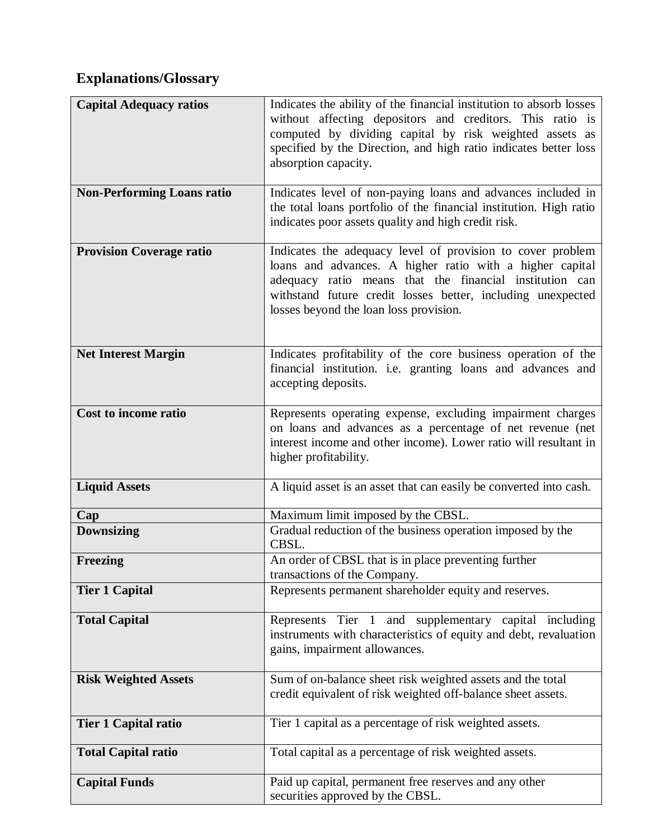# **Explanations/Glossary**

| <b>Capital Adequacy ratios</b>    | Indicates the ability of the financial institution to absorb losses<br>without affecting depositors and creditors. This ratio is<br>computed by dividing capital by risk weighted assets as<br>specified by the Direction, and high ratio indicates better loss                            |
|-----------------------------------|--------------------------------------------------------------------------------------------------------------------------------------------------------------------------------------------------------------------------------------------------------------------------------------------|
|                                   | absorption capacity.                                                                                                                                                                                                                                                                       |
| <b>Non-Performing Loans ratio</b> | Indicates level of non-paying loans and advances included in<br>the total loans portfolio of the financial institution. High ratio<br>indicates poor assets quality and high credit risk.                                                                                                  |
| <b>Provision Coverage ratio</b>   | Indicates the adequacy level of provision to cover problem<br>loans and advances. A higher ratio with a higher capital<br>adequacy ratio means that the financial institution can<br>withstand future credit losses better, including unexpected<br>losses beyond the loan loss provision. |
| <b>Net Interest Margin</b>        | Indicates profitability of the core business operation of the<br>financial institution. i.e. granting loans and advances and<br>accepting deposits.                                                                                                                                        |
| Cost to income ratio              | Represents operating expense, excluding impairment charges<br>on loans and advances as a percentage of net revenue (net<br>interest income and other income). Lower ratio will resultant in<br>higher profitability.                                                                       |
| <b>Liquid Assets</b>              | A liquid asset is an asset that can easily be converted into cash.                                                                                                                                                                                                                         |
| Cap                               | Maximum limit imposed by the CBSL.                                                                                                                                                                                                                                                         |
| <b>Downsizing</b>                 | Gradual reduction of the business operation imposed by the<br>CBSL.                                                                                                                                                                                                                        |
| Freezing                          | An order of CBSL that is in place preventing further<br>transactions of the Company.                                                                                                                                                                                                       |
| <b>Tier 1 Capital</b>             | Represents permanent shareholder equity and reserves.                                                                                                                                                                                                                                      |
| <b>Total Capital</b>              | Represents Tier 1 and supplementary capital including<br>instruments with characteristics of equity and debt, revaluation<br>gains, impairment allowances.                                                                                                                                 |
| <b>Risk Weighted Assets</b>       | Sum of on-balance sheet risk weighted assets and the total<br>credit equivalent of risk weighted off-balance sheet assets.                                                                                                                                                                 |
| <b>Tier 1 Capital ratio</b>       | Tier 1 capital as a percentage of risk weighted assets.                                                                                                                                                                                                                                    |
| <b>Total Capital ratio</b>        | Total capital as a percentage of risk weighted assets.                                                                                                                                                                                                                                     |
| <b>Capital Funds</b>              | Paid up capital, permanent free reserves and any other<br>securities approved by the CBSL.                                                                                                                                                                                                 |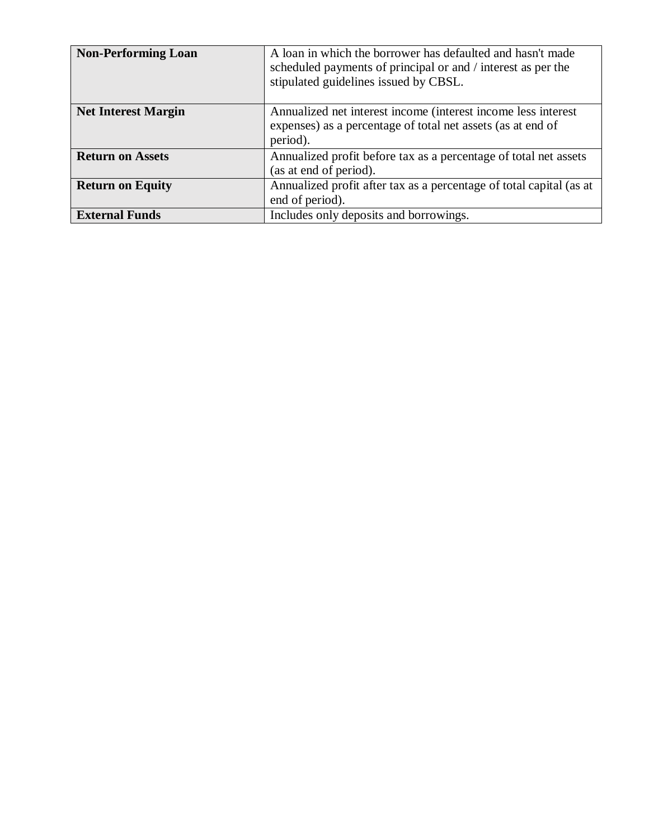| <b>Non-Performing Loan</b> | A loan in which the borrower has defaulted and hasn't made<br>scheduled payments of principal or and / interest as per the<br>stipulated guidelines issued by CBSL. |
|----------------------------|---------------------------------------------------------------------------------------------------------------------------------------------------------------------|
| <b>Net Interest Margin</b> | Annualized net interest income (interest income less interest<br>expenses) as a percentage of total net assets (as at end of<br>period).                            |
| <b>Return on Assets</b>    | Annualized profit before tax as a percentage of total net assets<br>(as at end of period).                                                                          |
| <b>Return on Equity</b>    | Annualized profit after tax as a percentage of total capital (as at<br>end of period).                                                                              |
| <b>External Funds</b>      | Includes only deposits and borrowings.                                                                                                                              |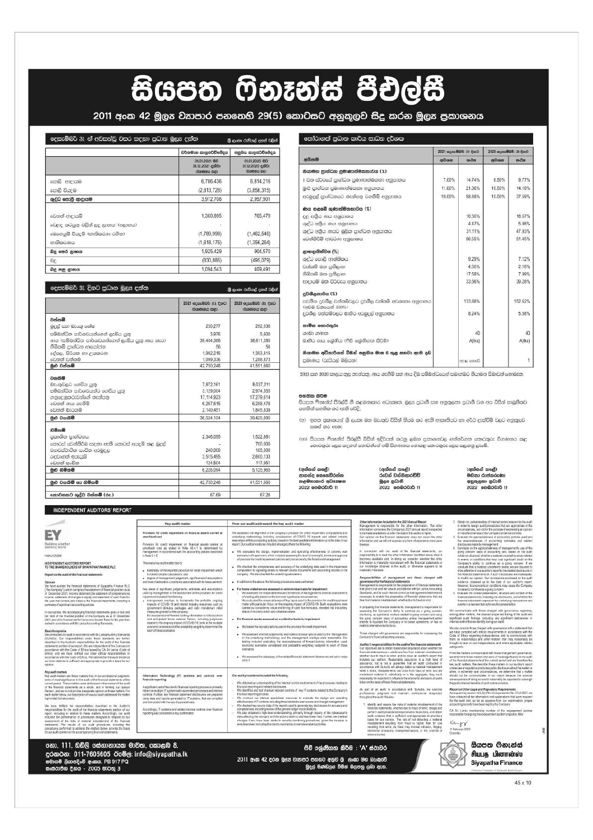# සියපත ෆිනෑන්ස් පීඑල්සී

2011 අංක 42 මූලූ වනපාර පනතෙහි 29(5) කොටසට අනුකූලව සිදු කරන මූලූ පුකාශනය

|                                   | වර්තමාන කාලපරිච්ඡේදය                                  | පසුගිය කාලපරිච්ඡේදය                                   |
|-----------------------------------|-------------------------------------------------------|-------------------------------------------------------|
|                                   | 01.01.2021 BVD<br>31.12.2021 දක්වා<br>(Bondges) gratt | 01.012020 80<br>31.12.2020 தமில்<br><b>Bashac pro</b> |
| පොලී පාදායම                       | 6,786,436                                             | 6.814.216                                             |
| පොලී වියදම                        | (2.813.728)                                           | (3,856,315)                                           |
| ශුද්ධ පොලී ආදාගම                  | 3.972.708                                             | 2.957.901                                             |
| වෙනත් ආදායම්                      | 1,360,895                                             | 765,479                                               |
| වෙළඳ සටයුතු වලින් ලද ලාභය/(අලාභය) |                                                       |                                                       |
| මෙහෙයම් වියදම් (සාතිකරණ රතිත)     | (1.789.998)                                           | (1,462,546)                                           |
| නාහිකරණය                          | (1.618, 176)                                          | (1,356,264)                                           |
| බදු පෙර ලාභය                      | 1,925,429                                             | 904.570                                               |
| бx.                               | (830, 886)                                            | (495, 079)                                            |
| බදු පසු ලාභය                      | 1.094.543                                             | 409.491                                               |

| දෙසැම්බර් 31 දිනට පුධාන මුලය දත්ත             |                                            | ශී සංකා රුපියක් දහස් වඩිත්            |  |  |
|-----------------------------------------------|--------------------------------------------|---------------------------------------|--|--|
|                                               | 2021 ecmo850 31 cmO<br>(Exerteristic care) | 2020 occu8600 31 cmO<br>(Bakterg gut) |  |  |
| தெள்ளி                                        |                                            |                                       |  |  |
| මදාර සහ බැංක ශේෂ                              | 250,277                                    | 292.036                               |  |  |
| සම්මන්ධිත පාර්ශවයන්ගෙන් ඇතිය යුත              | 3,976                                      | 5.600                                 |  |  |
| ණය (සම්බන්ධිත පාර්ශවයන්ගෙන් ඇඹිය යුතු ණය නැර) | 39.404.388                                 | 38.611.280                            |  |  |
| හිමිකම් පාන්ධන ආයෝජන                          | 56                                         | 56                                    |  |  |
| දේපළ, පිරියත හා උපකරණ                         | 1.992.215                                  | 1,353,815                             |  |  |
| වෙනත් වස්සම්                                  | 1.099.336                                  | 1,288,873                             |  |  |
| මුළු වන්නම්                                   | 42.750.248                                 | 41,551,660                            |  |  |
| වගකිම්                                        |                                            |                                       |  |  |
| බැංකුවහට ගෙවිය යුතු                           | 7.872.161                                  | 8.037.211                             |  |  |
| සම්බන්ධිත පාර්ශවයන්ට ගෙවිය යුතු               | 3.129.004                                  | 2.974.555                             |  |  |
| ගතදෙනකරුවන්ගේ නැන්පත                          | 17, 114, 923                               | 17,279.614                            |  |  |
| වෙනත් ආය ගැනීම්                               | 6.267.615                                  | 6,288,476                             |  |  |
| වෙනත් බැරකම්                                  | 2.140.451                                  | 1,845,839                             |  |  |
| මුළු වගකීම්                                   | 36.524.154                                 | 36.425.695                            |  |  |
| 幻想の場                                          |                                            |                                       |  |  |
| පුකාශීත පාන්ධනය                               | 2,346,095                                  | 1,522,881                             |  |  |
| කොටස් වෙන්තිරීම සඳහා ඇති කොටස් අයදම් කළ මදළු  |                                            | 700.000                               |  |  |
| වහවස්ථාපිත සංවිත අරමුදල                       | 240,000                                    | 185,000                               |  |  |
| රඳවාගත් ඉපැයුම්                               | 3,515,495                                  | 2,600.133                             |  |  |
| වෙනත් සංචිත                                   | 124,504                                    | 117.951                               |  |  |
| පිළු හිමිකම්                                  | 6.226.094                                  | 5,125,965                             |  |  |
| මුළු වගකීම් හා හිමිකම්                        | 42.750.248                                 | 41,551,660                            |  |  |
| කොටසකට ශුද්ධ වත්කම් (රු.)                     | 67.69                                      | 67.26                                 |  |  |

|                                                                            |        | 2021 sens@@b 31 8mO | 2020 acm: B&b 31 8mD |         |
|----------------------------------------------------------------------------|--------|---------------------|----------------------|---------|
| ඇයිතම                                                                      | පැවසය  | තථය                 | පවතන                 | තථය     |
| නියාමන පාත්ධන පුමාණාත්මකතාවය (%)                                           |        |                     |                      |         |
| 1 වන ස්ථරයේ පාන්ධන පමානාත්මකතා අනපාතය                                      | 7.00%  | 14.74%              | 6.50%                | 9.77%   |
| මළු පාන්ධන පුමාමාත්මකතා අනුපාතය                                            | 11.00% | 21.36%              | 10.50%               | 14.18%  |
| අරමැල් පාන්ධනයට සැන්පතු චනකීම් අනපාතය                                      | 10.00% | 58.88%              | 10.00%               | 37.59%  |
| ණය කළඹේ ගුණාත්මකතාවය (%)                                                   |        |                     |                      |         |
| දාප අකීය නැය අනපාතය                                                        |        | 16.30%              |                      | 18.07%  |
| ශුද්ධ අතීය ima අනුපාතය                                                     |        | 4.47%               |                      | 5.98%   |
| ලද්ධ අතිය නයට මුදික පුාත්ධන අනුපාතය                                        |        | 31.11%              |                      | 47.93%  |
| වෙන්කිරීම් ආවරණ අනුපාතය                                                    |        | 56.55%              |                      | 51.45%  |
| @ාභදායිත්වය (%)                                                            |        |                     |                      |         |
| ශ්රීධ පොඩි ආත්තිකය                                                         |        | 9.29%               |                      | 7.12%   |
| වත්කම් මත පතිදාහ                                                           |        | 4.50%               |                      | 2.18%   |
| හිමියම් මග පුතිලාභ                                                         |        | 17.58%              |                      | 7.99%   |
| ආදායම් මත පිරිවැය අනපාතය                                                   |        | 33.56%              |                      | 39.28%  |
| දුවශීලතාවය (%)                                                             |        |                     |                      |         |
| පවතින දඩමිල වත්කම්වලට දඩමිල වත්කම් අවශාශා අනපාතය<br>(ex58) Expected 100%). |        | 133.88%             |                      | 152.62% |
| දවශීල වත්කම්වලට මාතිර අරමුදල් අනුපාතය                                      |        | 8.24%               |                      | 5.58%   |
| නාමික කොරතරු                                                               |        |                     |                      |         |
| രാമു രമ്പന                                                                 |        | 40                  |                      | 40      |
| බාහිර ගාය ශේණිය (ෆිච් ශේණිගත කිරීම)                                        |        | A(Ika)              |                      | A(lka)  |
| නියාමන අධිකාරියක් විසින් පසුගිය මාස 6 තුළ පනවා ඇති දඩ                      |        |                     |                      |         |
| පමාණය (රුපියල් මිලියන)                                                     |        | expe easeD          |                      |         |

**සහතික කිරීම**<br>සියපත ෆිගහේස් පිඑළ්සී හි කළමනාකාර අධ්යයනෙ, මුළය පුධානී සහ අනුකුළතා පුධානී වන අප විසින් සාමූනිකව<br>පහතින් සහතික කර ඇති පරිදි,

(අ) - ඉහත පුකාශයන් මු ලංකා මහ බැංකුව විසින් නියම කර ඇති ආකාතියට හා අර්ථ දැක්වීම් වලට අනුකූලව<br>- සතස් කර ඇත;

(ආ) සියපත ෆිහණ්ස් පිඵළයි විසින් ඉදිරිපත් කරනු ළඹන පුකාශනවළ අන්තර්නක සොරතුරු විනමනය කළ<br>කොරතුරු ළෙස සඳහන් නොවන්නේ නම් විනමානය නොකළ තොරතුරු ළෙස සළකනු ළැබේ.

(අන්සන් කළේ)<br>ආනන්ද සෙනෙව්රත්න<br>කළමනාකාර අධෘතෂක<br>2022 පෙබරවාරි 11

(අත්සන් කළේ)<br>රුවන් වන්නිආරච්චි<br>මූල¤ පුධානි<br>2022 පෙබරවාරි 11

(අත්සන් කළේ)<br>මහිකා රාජකරුණා<br>අනුකුලතා පුධානී<br>2022 පෙබරවාරි 11

### **INDEPENDENT AUDITORS' REPORT**

|                                                                                                                                                                                                                                                                                                                                                                                                                                                                                                                                                                                                                                                                                                                                                                                                                                                                                                                                                                                                                                                                                                                                                                                                                                                                                                                                                                                                                                                                                                                                                          | Key audit matter                                                                                                                                                                                                                                                                                                                                                                                                                                                                                                                                                                                                                                                                                                                                                                                                                                                                                                                                                                                                                                                                                                                                                                                                                                                                                                | How our audit addressed the key audit matter                                                                                                                                                                                                                                                                                                                                                                                                                                                                                                                                                                                                                                                                                                                                                                                                                                                                                                                                                                                                                                                                                                                                                                                                                                                                                                                                                                                                                                                                                                                                                                                                                                                                                                                                                                                                                                                                                                                                                                                                                                                                                                                                                                          | Other information included in the 2021 Annual Report<br>Management is responsible for the other information. The other                                                                                                                                                                                                                                                                                                                                                                                                                                                                                                                                                                                                                                                                                                                                                                                                                                                                                                                                                                                                                                                                                                                                                                                                                                                                                                                                                                                                                                                                                                                                                                                                                                                                                                                                                                                                                                                                                                                                       | 2. Obtain an understanding of internal control relevant to the audit<br>in order to design audit procedures that are appropriate in the                                                                                                                                                                                                                                                                                                                                                                                                                                                                                                                                                                                                                                                                                                                                                                                                                                                                                                                                                                                                                                                                                                                                                                                                                                                                                                                                                                                                                                                                                                                                                                                                                                                                                                                                                                                                                                                                                                                                                                                                                                                                                 |
|----------------------------------------------------------------------------------------------------------------------------------------------------------------------------------------------------------------------------------------------------------------------------------------------------------------------------------------------------------------------------------------------------------------------------------------------------------------------------------------------------------------------------------------------------------------------------------------------------------------------------------------------------------------------------------------------------------------------------------------------------------------------------------------------------------------------------------------------------------------------------------------------------------------------------------------------------------------------------------------------------------------------------------------------------------------------------------------------------------------------------------------------------------------------------------------------------------------------------------------------------------------------------------------------------------------------------------------------------------------------------------------------------------------------------------------------------------------------------------------------------------------------------------------------------------|-----------------------------------------------------------------------------------------------------------------------------------------------------------------------------------------------------------------------------------------------------------------------------------------------------------------------------------------------------------------------------------------------------------------------------------------------------------------------------------------------------------------------------------------------------------------------------------------------------------------------------------------------------------------------------------------------------------------------------------------------------------------------------------------------------------------------------------------------------------------------------------------------------------------------------------------------------------------------------------------------------------------------------------------------------------------------------------------------------------------------------------------------------------------------------------------------------------------------------------------------------------------------------------------------------------------|-----------------------------------------------------------------------------------------------------------------------------------------------------------------------------------------------------------------------------------------------------------------------------------------------------------------------------------------------------------------------------------------------------------------------------------------------------------------------------------------------------------------------------------------------------------------------------------------------------------------------------------------------------------------------------------------------------------------------------------------------------------------------------------------------------------------------------------------------------------------------------------------------------------------------------------------------------------------------------------------------------------------------------------------------------------------------------------------------------------------------------------------------------------------------------------------------------------------------------------------------------------------------------------------------------------------------------------------------------------------------------------------------------------------------------------------------------------------------------------------------------------------------------------------------------------------------------------------------------------------------------------------------------------------------------------------------------------------------------------------------------------------------------------------------------------------------------------------------------------------------------------------------------------------------------------------------------------------------------------------------------------------------------------------------------------------------------------------------------------------------------------------------------------------------------------------------------------------------|--------------------------------------------------------------------------------------------------------------------------------------------------------------------------------------------------------------------------------------------------------------------------------------------------------------------------------------------------------------------------------------------------------------------------------------------------------------------------------------------------------------------------------------------------------------------------------------------------------------------------------------------------------------------------------------------------------------------------------------------------------------------------------------------------------------------------------------------------------------------------------------------------------------------------------------------------------------------------------------------------------------------------------------------------------------------------------------------------------------------------------------------------------------------------------------------------------------------------------------------------------------------------------------------------------------------------------------------------------------------------------------------------------------------------------------------------------------------------------------------------------------------------------------------------------------------------------------------------------------------------------------------------------------------------------------------------------------------------------------------------------------------------------------------------------------------------------------------------------------------------------------------------------------------------------------------------------------------------------------------------------------------------------------------------------------|-------------------------------------------------------------------------------------------------------------------------------------------------------------------------------------------------------------------------------------------------------------------------------------------------------------------------------------------------------------------------------------------------------------------------------------------------------------------------------------------------------------------------------------------------------------------------------------------------------------------------------------------------------------------------------------------------------------------------------------------------------------------------------------------------------------------------------------------------------------------------------------------------------------------------------------------------------------------------------------------------------------------------------------------------------------------------------------------------------------------------------------------------------------------------------------------------------------------------------------------------------------------------------------------------------------------------------------------------------------------------------------------------------------------------------------------------------------------------------------------------------------------------------------------------------------------------------------------------------------------------------------------------------------------------------------------------------------------------------------------------------------------------------------------------------------------------------------------------------------------------------------------------------------------------------------------------------------------------------------------------------------------------------------------------------------------------------------------------------------------------------------------------------------------------------------------------------------------------|
| Building a better<br>bhow pnikhow<br><b>HMAJKIRIDM</b><br>NDEPENOENT AUDITORS' REPORT<br>TO THE SHAREHOLDERS OF SIXAPATHA FINANCE PLC.<br>Report on the audit of the financial statements.<br>Opinion<br>We have audited the financial statements of Syapatha Finance PLC<br>The Company's which comprise the statisticated financial position signi-<br>31 December 2021, income statement the statement of comprehensive<br>moonse, statement of changes in equity and statement of cash flows for<br>the year then ended, and notes to the financial statements. including a<br>summany of a configure appointment policies.<br>In our opinion. the accompanying Enancial statements gives a true and<br>fair view of the financial position of the Company as at 31 December<br>2021, and of its financial performance and its cost flows for the year then<br>anded in accordance with Sri Lanka Accounting Standards<br>Basis for coin on<br>We conducted our audit in accordance with Sri Lanka Auditoro Standards<br>(SLAUSSL Our responsibilities under those standards are further<br>described in the Auditor's responsibilities for the audit of the financial<br>statements section of our report. We are independent of the Company in<br>accordance with the Code of Ethics issued by CA Sri Lanks (Code of<br>Etxical and we have fulfilled our other afficed responsibilities in<br>accordance with the Code of Ethics. We believe that the audit evidence<br>we have obtained is sufficient and accropriate to provide a besis for our | Provision for credit impairment on financial assets carried at<br>amortised cost<br>Provision for credit impairment on financial assets certifial at<br>amortised cost as stated in Note 45.4.1 is determined by<br>management in accordance with the accounting policies described<br>in Nato 3.1 R<br>This was a key audit matter due to:<br>. materiality of the recorted provision for credit impairment which<br>involved complex catculations; and<br>· degree of management judgement, significance of assumptions<br>and level of estimation ancertainty associated with its measurement<br>Key areas of significant judgements, extimates and assumptions<br>used by management in the assessment of the provision for credit<br>impointment included the following:<br>· management overlays to incorporate the probable ongoing<br>impacts of CGMD-19 and related industry responses such as<br>government stimulus packages and debt moratorium reliaf<br>measures granted by the company;<br>the incorporation of forward-looking information to reflect current<br>and anticipated future external factors, including judgments<br>related to the ongoing impact of COVID-19, both in the multiple.<br>economic scenarios and the probability weighting determined for<br>each of these sconarios | We assessed the alignment of the company's provision for credit impairment computations and<br>underlying resthadatopy including consideration of CONTE 19 impacts and related inclusivy<br>responses with its accounting policies, isseed on the best available information up to the date of our<br>report. Our audit procedures included amongst others the following:<br>· We exampled the design, implementation and operating effectiveness of controls over<br>estimation of impairment, which included assessing the level of dversiont, review and approval.<br>of provision for credit impairment policies and procedures by the Board and management<br>. We checked the completeness and accuracy of the underlying data used in the integrment<br>computation by sgreeing details to relevant source documents and accounting records of the<br>company. We also checked the underlying calculations.<br>. In addition to the above, the following procedures were performed:<br>· For loans and advances assessed on an inclividual basis for impairment.<br>- We assessed the reasonableness and timelness of Management's internal assessments<br>of shedit quality based on the borower's particular circumstances<br>- We make the trasonable ress of key inputs used in the provision for credit impairment.<br>made with particular focus on the ongoing impact of COVID-19. Such exaluations were<br>carried out considering value and timing of cash flow forecasts, elevated risk industries.<br>status of recovery action and collaboral values<br>· For financial assets assessed on a collective basis for impairment:<br>. We tested the key calculations used in the provision for credit inspairment.<br>. We assessed whether ludgements, estimates and assumptions used by the Management<br>in the underlichg methodology and the management queliavs were reasonable. Our<br>lasting included exalizating the necessablement of forward-tooking information used.<br>economic scenarios considered and probability vieighting assigned to each of those<br><b>SOFTENIOS</b><br>. We assessed the adequacy of the related financial atstament disclosures set out in notes.<br>40.4.1 | information comprises the Company's 2021 annual report is expected<br>to be made available to us after the date of this auditor's report.<br>Our coinion on the financial statements does not cover the other<br>information and we will not supraiss any form of assurance condusion<br>thesson:<br>In connection with our audit of the financial statements, cur-<br>responsibility is to read the other information identified above when it.<br>becomes available and, in doing on, consider whether the other<br>information is materially inconsistent with the Engricial statements or<br>our knywledge cirtained in the audit, or otherwise appears in he<br>materially misstated.<br>Responsibilities of menagement and those charged with<br>governance for the financial statements<br>Management is nespensible for the preparation of financial statements<br>that give a true and tair view in accordance with Sri Lanka Accounting<br>Stendards, and for such internal control as management diatermines in<br>necessary to enable the preparation of financial statements that are<br>feasily per material missibile mont, whether due to fraud or error.<br>In proparing the financial statements, management is responsible for<br>assessing the Company's ability to continue as a going concern.<br>disclosing, as applicable, realters related to going concern and using<br>the going concern basis of appointing unless management either<br>intends to liquidate the Corrolany or to ossee operations, or has no<br>realistic attempt we trut to do so.<br>Those charged with sovemance are responsible for overseeing the<br>Company's financial reporting process.<br>Auditor's responsibilities for the audit of the financial statements<br>Our objectives are to obtain reasonable assurance about whether the<br>financial statements as a whole are free from material misstatement.<br>whether due to fraud or error, and to issue an auditor's report that<br>indudes our coinion. Reasonable assurance is a frigh level of | circumstances, but not for the purpose of expressing an opinion<br>an the effectiveness of the Company's internal controls.<br>3 Exaluate the appropriatement of accounting policies used and<br>the reasonableness of accounting estimates and related<br>disclosures made by resnagament.<br>4. Conclude on the appropriateness of management's use of the<br>going concern basis of accounting and, based on the audit<br>evidence oblained, whether a material uncertainty exists related<br>to events or conditions that may cast significant doubt on the<br>Company's ability to continue as a going concern. If we<br>conclude that a material uncertainty exists, we are required to<br>draw attention in our auditor's report to the related disclosures in<br>the financial atstements or, if such diaclosures are inscienable<br>to modify our cerition. Our conclusions are based on the audit<br>evidence obtained up to the date of our auditor's report.<br>However, future events or conditions may cause the Company<br>to cease to continue as a point concern.<br>5. Exaluate the overall presentation, structure and content of the<br>financial statements, including the disclosures, and whether the<br>financial statements represent the underlying transactions and<br>events in a manner that achieves for presentation.<br>We communicate with those charged with governance regarding<br>among other markets, the planned scope and funing of the audit and<br>idgelficant audit findings, including sny algnificant deficiencies in<br>internal control that we identify during our said!<br>We also provide those charged with governance with a statement that<br>we have compled with efficel requirements in accordance with the<br>Coda of Ethics recenting independence, and to communicate with<br>there all relationships and other matters that max reasonably be<br>thought to been on our independence, and where applicable, related<br>safeguards<br>From the maillans communicated with those changed with governance<br>we determine those matters that were of most significance in the audit<br>of the financial statements of the current period and are therefore the |
| opinos.<br>Key audit restters<br>Key audit matters are those matters that, in our professional judgmant.<br>were of most significance in the audit of the financial statements of the<br>Situation of the matters with a crew and the contact boing to end<br>of the financial statements as a whole, and in forming our opinion<br>thereon, and we do not provide a separate opinion on thase matters. For<br>help might be settled it as tup world noting cost is of test down down<br>is provided in that context.<br>We have fulfilled the responsibilities described in the Auditor's<br>responsibilities for the partit of the Enancial statements section of our<br>report, including in relation to these matters. Accordingly, cur audit.<br>ncluded the performance of procedures designed to respond to our<br>iconomic of the risks of motors in second of the frances.<br>statements. The results of our such procedures, including the<br>procedures performed to address the matters below, provide the beals<br>for our audit opinion on the accompanying financial statements.                                                                                                                                                                                                                                                                                                                                                                                                                                                          | Information Technology (IT) systems and controls over<br>financial reporting<br>Asignificant part of the clent's financial niporting process is primarily<br>reliant complete iT systems with automated processes and internal<br>controls. Forther, key financial statement disclosures are crecared<br>using data and regorts generated by IT systems, that are correlled<br>and formulated with the use of spreadsheets.<br>Accordingly, IT systems and related internal controls over financial<br>reporting was considered a key pudit matter.                                                                                                                                                                                                                                                                                                                                                                                                                                                                                                                                                                                                                                                                                                                                                             | Our audit procedures included the following:<br>- We obtained an understanding of the internal control environment of the processes relating to<br>financial reporting and related disclosures.<br>We identified and test checked relevant controls of livey iT systems related to the Company's<br>financial reporting process.<br>We involved our internal specialized resources to evaluate the design and operating<br>effectiveness of IT controls, including those related to user access and change management<br>- We checked way seurce data of the reports used to generate key disclosures for ecourers and<br>completeness, including review of the general ledger reconciliations.<br>- We also obtained a high-level understanding, primarily through inquiry, of the sybersecurity<br>risks affecting the company and the actions taken to address these risks. Further, we checked<br>changes if any have been reade to security monitoring propedures, given the increase in<br>reitote warkers including the client's monitoring on reinate workers activities.                                                                                                                                                                                                                                                                                                                                                                                                                                                                                                                                                                                                                                                                                                                                                                                                                                                                                                                                                                                                                                                                                                                                     | accordance with SLAsSs will always delect a material misstatement.<br>when it ealsts. Misstalements can arise from haud or error and are<br>considered material if, individually or in the appropriate. They could<br>reasonably be expected to influence the economic decisions of users<br>takes on the twen of those financial statements.<br>As part of an audit in accordance with SLAUSs, we coordise<br>professional judgment and maintain professional skepticism<br>throughout the audit. We also<br>1. identify and assess the risks of material mississtement of the<br>financial sizebments, whether due to fraud or entit, design and<br>perform sudit procedures responsive to those risks, and obtain<br>partit evidence that is sufficient and appropriate to provide a<br>basis for our opinion. The risk of not detecting a material<br>misstatement resulting from fraud is higher than for one<br>resulting from error, as fraud may involve collusion, forgery,<br>intentional omissions, misrepresentations, or the overnite of<br>Internal control                                                                                                                                                                                                                                                                                                                                                                                                                                                                                                                                                                                                                                                                                                                                                                                                                                                                                                                                                                                    | key sucil motters. We describe these matters in our auditor's report<br>unless law or regulation preducies public disclosure about the matter or<br>when, in extremely rare circumstances, we determine that a matter<br>should not be communicated in our report because the athene<br>contequences of doing so yould reasonably be expected to outweight<br>the public internation of to of such communication.<br>Report on Other Legal and Repulsiony Repulvements<br>As required by section 163 (2) of the Companies Act No. 07 of 2007, we<br>have obtained all the information and explanations that were required<br>for the qudit and, its for as appears from our examination, proper<br>accounting records have boar locatily the Company.<br>CA Sri Lanks membership number of the engagement partner<br>responsible for signing this independent auditor's report is 1884.<br>any<br>11 Fabruary 2022<br>Colombo                                                                                                                                                                                                                                                                                                                                                                                                                                                                                                                                                                                                                                                                                                                                                                                                                                                                                                                                                                                                                                                                                                                                                                                                                                                                                           |

# පායා. 111. සංගල වසාගාවකාසය පටහර, පසාළග ව.<br>සුරකථන: 011.7605605 ඊරමිලි: info@siyapatha.lk<br>සමගම් ලිගාපදිංචි අංකය. PB 917 PQ<br>සංස්ථාපීත දිනය - 2005 මාර්තු 3

2011 අංක 42 දරන මූලෂ වානපර පනතට අනුව ලී ලංකා මහ බැංකුරව්<br>මුදල මණාවලය විකිනී ගලාපාල ග

œ, Siyapatha Finance Siyapatha Finance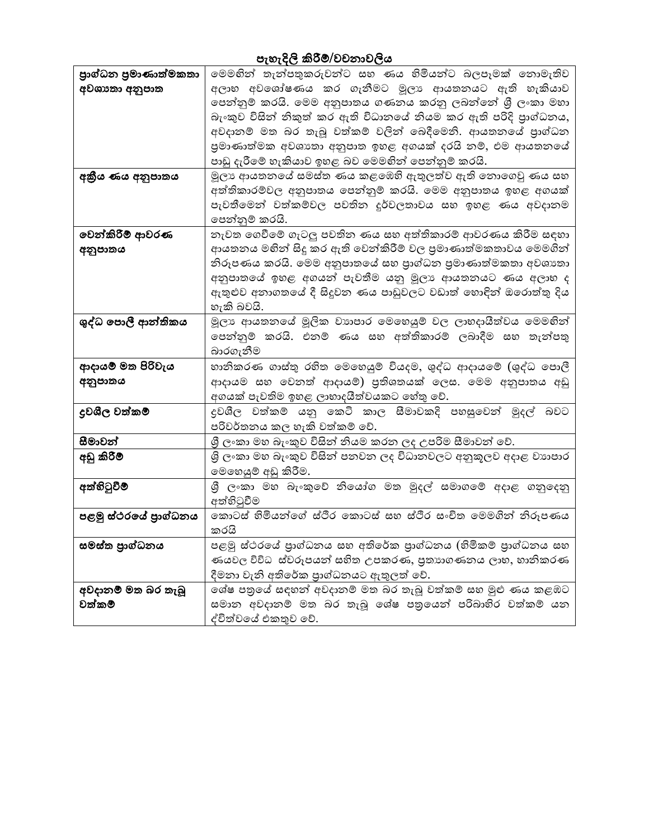# පැෙැදිලි කිරීේ/වචනාවලිය

| පාග්ධන පුමාණාත්මකතා | මෙමහින් තැන්පතුකරුවන්ට සහ ණය හිමියන්ට බලපෑමක් නොමැතිව           |
|---------------------|-----------------------------------------------------------------|
| අවශානා අනුපාත       | අලාභ අවශෝෂණය කර ගැනීමට මූලා ආයතනයට ඇති හැකියාව                  |
|                     | පෙන්නුම් කරයි. මෙම අනුපාතය ගණනය කරනු ලබන්නේ ශී ලංකා මහා         |
|                     | බැංකුව විසින් නිකුත් කර ඇති විධානයේ නියම කර ඇති පරිදි පුාග්ධනය, |
|                     | අවදානම් මත බර තැබූ වත්කම් වලින් බෙදීමෙනි. ආයතනයේ පුාග්ධන        |
|                     | පුමාණාත්මක අවශානා අනුපාත ඉහළ අගයක් දරයි නම්, එම ආයතනයේ          |
|                     | පාඩු දැරීමේ හැකියාව ඉහළ බව මෙමහින් පෙන්නුම් කරයි.               |
| අකීය ණය අනුපාතය     | මූලා ආයතනයේ සමස්ත ණය කළඹෙහි ඇතුලත්ව ඇති නොගෙවු ණය සහ            |
|                     | අත්තිකාරම්වල අනුපාතය පෙන්නුම් කරයි. මෙම අනුපාතය ඉහළ අගයක්       |
|                     | පැවතීමෙන් වත්කම්වල පවතින දූර්වලතාවය සහ ඉහළ ණය අවදානම            |
|                     | <u>පෙන්නු</u> ම් කරයි.                                          |
| වෙන්කිරීම් ආවරණ     | නැවත ගෙවීමේ ගැටලු පවතින ණය සහ අත්තිකාරම් ආවරණය කිරීම සඳහා       |
| අනුපාතය             | ආයතනය මහින් සිදු කර ඇති වෙන්කිරීම් වල පුමාණාත්මකතාවය මෙමගින්    |
|                     | නිරූපණය කරයි. මෙම අනුපාතයේ සහ පුාග්ධන පුමාණාත්මකතා අවශානා       |
|                     | අනුපාතයේ ඉහළ අගයන් පැවතීම යනු මූලා ආයතනයට ණය අලාභ ද             |
|                     | ඇතුළුව අනාගතයේ දී සිදුවන ණය පාඩුවලට වඩාත් හොඳින් ඔරොත්තු දිය    |
|                     | හැකි බවයි.                                                      |
| ශුද්ධ පොලී ආන්තිකය  | මූලා ආයතනයේ මූලික වාාපාර මෙහෙයුම් වල ලාභදායීත්වය මෙමහින්        |
|                     | පෙන්නුම් කරයි. එනම් ණය සහ අත්තිකාරම් ලබාදීම සහ තැන්පතු          |
|                     | බාරගැනීම                                                        |
| ආදායම් මත පිරිවැය   | හානිකරණ ගාස්තු රහිත මෙහෙයුම් වියදම, ශුද්ධ ආදායමේ (ශුද්ධ පොලී    |
| අනුපාතය             | ආදායම සහ වෙනත් ආදායම්) පුතිශතයක් ලෙස. මෙම අනුපාතය අඩු           |
|                     | අගයක් පැවතිම ඉහළ ලාහාදයීත්වයකට හේතු වේ.                         |
| දුවශීල වත්කම්       | දුවශීල වත්කම් යනු කෙටි කාල සීමාවකදි පහසුවෙන් මුදල්<br>බවට       |
|                     | පරිවර්තනය කල හැකි වත්කම් වේ.                                    |
| සීමාවන්             | ශී ලංකා මහ බැංකුව විසින් නියම කරන ලද උපරිම සීමාවන් වේ.          |
| අඩු කිරීම           | ශි ලංකා මහ බැංකුව විසින් පනවන ලද විධානවලට අනුකූලව අදාළ වාහපාර   |
|                     | මෙහෙයුම් අඩු කිරීම.                                             |
| අත්හිටුවීම්         | ශීූ ලංකා මහ බැංකුවේ නියෝග මත මුදල් සමාගමේ අදාළ ගනුදෙනු          |
|                     | අත්හිටුවීම                                                      |
| පළමු ස්ථරයේ පාග්ධනය | කොටස් හිමියන්ගේ ස්ථිර කොටස් සහ ස්ථිර සංචිත මෙමගින් නිරූපණය      |
|                     | කරයි                                                            |
| සමස්ත පුාග්ධනය      | පළමු ස්ථරයේ පුාග්ධනය සහ අතිරේක පුාග්ධනය (හිමිකම් පුාග්ධනය සහ    |
|                     | ණයවල විවිධ ස්වරූපයන් සහිත උපකරණ, පුතාහගණනය ලාභ, හානිකරණ         |
|                     | දීමනා වැනි අතිරේක පුාග්ධනයට ඇතුලත් වේ.                          |
| අවදානම් මත බර තැබූ  | ශේෂ පතුයේ සඳහන් අවදානම් මත බර තැබූ වත්කම් සහ මුළු ණය කළඹට       |
| වත්කම්              | සමාන අවදානම් මත බර තැබූ ශේෂ පනුයෙන් පරිබාහිර වත්කම් යන          |
|                     | ද්විත්වයේ එකතුව වේ.                                             |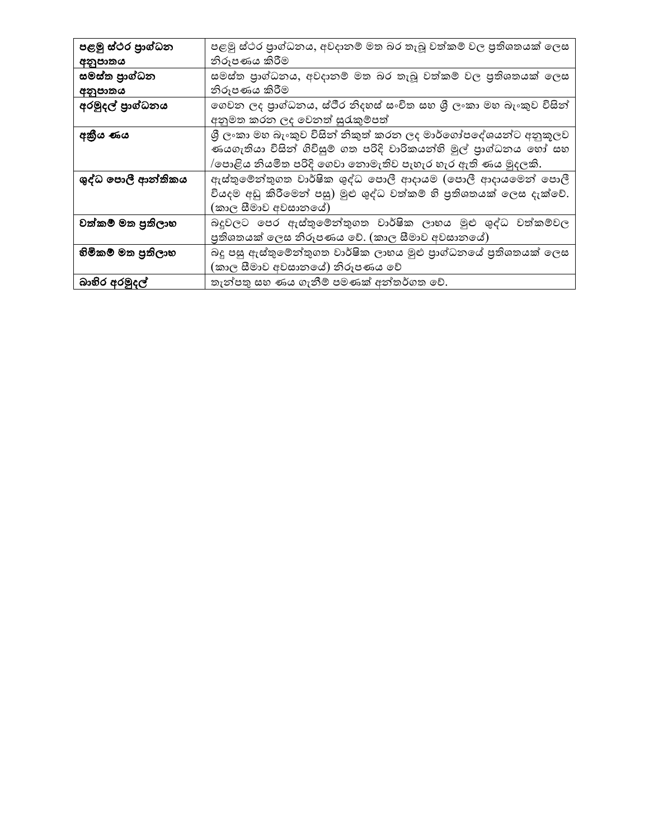| පළමු ස්ථර පුාග්ධන  | පළමු ස්ථර පාග්ධනය, අවදානම් මත බර තැබූ වත්කම් වල පුතිශතයක් ලෙස      |
|--------------------|--------------------------------------------------------------------|
| අනුපාතය            | නිරූපණය කිරීම                                                      |
| සමස්ත පුාග්ධන      | සමස්ත පාග්ධනය, අවදානම් මත බර තැබූ වත්කම් වල පුතිශතයක් ලෙස          |
| අනුපාතය            | නිරූපණය කිරීම                                                      |
| අරමුදල් පුාග්ධනය   | ගෙවන ලද පුාග්ධනය, ස්ථීර නිදහස් සංචිත සහ ශී ලංකා මහ බැංකුව විසින්   |
|                    | අනුමත කරන ලද වෙනත් සුරැකුම්පත්                                     |
| අකීය ණය            | ශී ලංකා මහ බැංකුව විසින් නිකුත් කරන ලද මාර්ගෝපදේශයන්ට අනුකූලව      |
|                    | ණයගැතියා විසින් ගිවිසුම් ගත පරිදි වාරිකයන්හි මුල් පාග්ධනය හෝ සහ    |
|                    | /පොළිය නියමිත පරිදි ගෙවා නොමැතිව පැහැර හැර ඇති ණය මුදලකි.          |
| ශුද්ධ පොලී ආන්තිකය | ඇස්තුමේන්තුගත වාර්ෂික ශුද්ධ පොලී ආදායම (පොලී ආදායමෙන් පොලී         |
|                    | වියදම අඩු කිරීමෙන් පසු) මුළු ශුද්ධ වත්කම් හි පුතිශතයක් ලෙස දැක්වේ. |
|                    | (කාල සීමාව අවසානයේ)                                                |
| වත්කම් මත පුතිලාභ  | බදූවලට පෙර ඇස්තුමේන්තුගත වාර්ෂික ලාභය මූළු ශුද්ධ වත්කම්වල          |
|                    | පුතිශතයක් ලෙස නිරූපණය වේ. (කාල සීමාව අවසානයේ)                      |
| හිමිකම් මත පුතිලාභ | බදූ පසු ඇස්තුමේන්තුගත වාර්ෂික ලාභය මුළු පුාග්ධනයේ පුතිශතයක් ලෙස    |
|                    | (කාල සීමාව අවසානයේ) නිරූපණය වේ                                     |
| බාහිර අරමුදල්      | තැන්පතු සහ ණය ගැනීම් පමණක් අන්තර්ගත වේ.                            |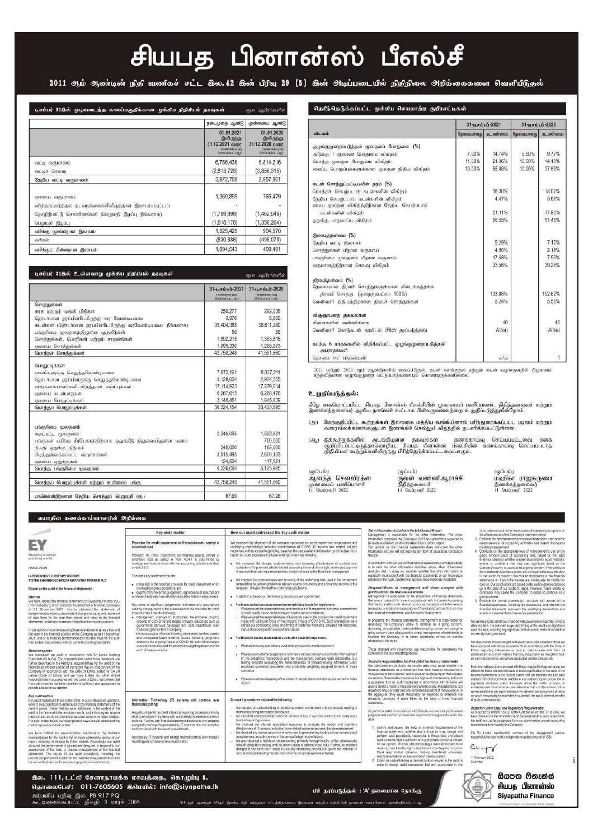# சியபத பினான்ஸ் பீஎல்சீ

# ் 2011 ஆம் ஆண்டின் நிதி வணிகச் சட்ட தில.42 இன் பிரிவு 29 (5) இன் அடிப்படையில் நிதிநிலை அறிக்கைகளை வெளியிடுதல்

|                                                         | நடைமுறை ஆண்டு                                                                   | முன்னைய ஆண்டு                                                                          |
|---------------------------------------------------------|---------------------------------------------------------------------------------|----------------------------------------------------------------------------------------|
|                                                         | 01.01.2021<br>இலிருந்து<br>31.12.2021 வரை<br><b>Tavanikamong</b><br>Gennann Leo | 01.01.2020<br>இலிருந்து<br>31.12.2020 வரை<br><b>CHARDED BURNTEEPING</b><br>Grimmium so |
| வட்டி வருமானம்                                          | 6,786,436                                                                       | 6,814,216                                                                              |
| வட்டிச் செலவு                                           | (2,813,728)                                                                     | (3,856,315)                                                                            |
| தேறிய வட்டி வருமானம்                                    | 3.972.708                                                                       | 2.957.901                                                                              |
| ஏனைப வருமானம்.                                          | 1,360,895                                                                       | 765,479                                                                                |
| லர்த்தகப்படுத்தல் நடவடிக்கைகளிலிருந்தான இலாபம்/(நட்டம்) |                                                                                 |                                                                                        |
| தொழிந்பாட்டு செலவினங்கள் (பெறுமதி இழப்பு நீங்கலாக)      | (1,789,998)                                                                     | (1,462,546)                                                                            |
| பெறுமதி இழப்பு                                          | (1,618,176)                                                                     | (1,356,264)                                                                            |
| வரிக்கு முன்னரான இலாபம்                                 | 1,925,429                                                                       | 904.570                                                                                |
| வரிகள்                                                  | (830, 886)                                                                      | (495.079)                                                                              |
| வரிக்கப் பின்னரான இலாபம்                                | 1,094,543                                                                       | 409,491                                                                                |

|                                                                                      | 31-120 million-2021<br>(domá ámúni)<br>Gaussian Laut | 31-டிசம்பர்-2020<br>(aussische)<br>GINGHARDUCA, IND |
|--------------------------------------------------------------------------------------|------------------------------------------------------|-----------------------------------------------------|
| சொத்துக்கள்                                                                          |                                                      |                                                     |
| காசு மற்றும் வங்கி மீதிகள்                                                           | 250,277                                              | 292.036                                             |
| தொடர்பான தரப்பினரிடமிருந்து வர வேண்டியவை                                             | 3.976                                                | 5,600                                               |
| கடன்கள் (தொடர்பான தரப்பினரிடமிருந்து வரவேண்டியவை நீங்கலாக)                           | 39,404,388                                           | 38.611,280                                          |
| பங்குரிமை மூலதனத்திலுள்ள முதலீடுகள்                                                  | 56                                                   | 56                                                  |
| சொத்துக்கள், பொறிகள் மற்றும் சாதனங்கள்                                               | 1,992,215                                            | 1,353,815                                           |
| ஏனைய சொத்துக்கள்                                                                     | 1.099.336                                            | 1,288,873                                           |
| மொத்தச் சொத்துக்கள்                                                                  | 42.750.248                                           | 41,551,660                                          |
| பொறுப்புக்கள்                                                                        |                                                      |                                                     |
| வங்கிகளுக்கு செலுத்தவேண்டியவை                                                        | 7,872,161                                            | 8,037,211                                           |
| தொடர்பான தரப்பினருக்கு செலுத்தவேண்டியவை                                              | 3.129.004                                            | 2,974,555                                           |
| வாடிக்கையாளர்களிடமிருந்தான வைப்புக்கள்                                               | 17, 114, 923                                         | 17,279,614                                          |
| ஏனைய கடன்பாடுகள்                                                                     | 6,267,615                                            | 6,288,476                                           |
| ஏனைய பொறுப்புக்கள்                                                                   | 2,140,451                                            | 1,845,839                                           |
| மொத்தப் பொறுப்புக்கள்                                                                | 36,524,154                                           | 36,425.695                                          |
|                                                                                      |                                                      |                                                     |
| பங்குரிமை மூலதனம்<br>கூறப்பட்ட மூலதனம்                                               | 2,346,095                                            | 1,522,881                                           |
|                                                                                      |                                                      | 700.000                                             |
| பங்குகள் பகிரவு பீரபோகத்திற்காக ஒதுக்கீடு நிலுவைபிலுள்ள பணம்<br>நியகி தைக்கு நிதியம் | 240,000                                              | 185,000                                             |
|                                                                                      | 3.515.495                                            |                                                     |
| பிடித்துவைக்கப்பட்ட வருவாய்கள்                                                       | 124,504                                              | 2,600,133<br>117.951                                |
| ஏனைப ஒதுக்குகள்                                                                      |                                                      |                                                     |
| மொத்த பங்குரிமை மூலதனம்                                                              | 6,226,094                                            | 5.125.965                                           |
| மொத்தப் பொறுப்புக்கள் மற்றும் உரிமைப் பங்கு                                          | 42,750,248                                           | 41,551,660                                          |
| பங்கொன்றிற்கான தேறிய சொத்துப் பெறுமதி (ரூ.)                                          | 67.69                                                | 67.26                                               |

## .<br>- தெரிந்தெடுக்கப்பட்ட முக்கிய செயலாற்ற குறீகாட்டிகள்

|                                                                                 |             | 31-மாய்பர்-2021 |              | 31-டிசம்பர்-2020 |  |
|---------------------------------------------------------------------------------|-------------|-----------------|--------------|------------------|--|
| வி பம்                                                                          | Сказаштата) | உண்மை           | Сахвенштекан | உண்மை            |  |
| ஒழுங்குமுறைப்படுத்தல் மூலதனப் போதுமை (%)                                        |             |                 |              |                  |  |
| அடுக்கு 1 மூலதன கோதுமை விகிதம்                                                  | 7.00%       | 14.74%          | 6.50%        | 9.77%            |  |
| மொத்த மூலதன போதுமை விகிதம்                                                      | 11.00%      | 21.36%          | 10.50%       | 14.18%           |  |
| வைப்பு பொழுப்புக்களுக்கான மூலதன நிதிய விகிதம்                                   | 10.00%      | 58.88%          | 10.00%       | 37.59%           |  |
| கடன் சொத்துப்பட்டியலின் தரம் (%)                                                |             |                 |              |                  |  |
| பொத்தச் செயற்படாக் கடன்களின் விகிதம்                                            |             | 16.30%          |              | 18.07%           |  |
| தேறிய செயற்படாக் கடன்களின் விகிதம்<br>மைய மூலதன விகிதத்திற்கான தேறிய செயற்படாக் |             | 4.47%           |              | 5.98%            |  |
| கடன்களின் விகிகம்                                                               |             | 31.11%          |              | 47.93%           |  |
| ஒதுக்கு பாதுகாப்பு விகிதம்                                                      |             | 56.55%          |              | 51.45%           |  |
| இலாபத்தன்மை (%)                                                                 |             |                 |              |                  |  |
| கேறிய வட்டி இலாபம்                                                              |             | 9.29%           |              | 7.12%            |  |
| சொத்துக்கள் மீதான வருவாய்                                                       |             | 4.50%           |              | 2.18%            |  |
| பங்குரிமை மூலதனம் மீதான வருவாய்                                                 |             | 17.58%          |              | 7.99%            |  |
| லருமானத்திர்கான செலவு விகிதம்                                                   |             | 33.56%          |              | 39.28%           |  |
| திரவத்தன்மை (%)                                                                 |             |                 |              |                  |  |
| தேவையான திரவச் சொத்துகளுக்கான கிடைக்கத்தக்க                                     |             |                 |              |                  |  |
| திரவச் சொத்து (குறைந்தபட்சம் 100%)                                              |             | 133.88%         |              | 152.62%          |  |
| வெளிவாரி நிதியத்திற்கான தீரவச் சொத்துக்கள்                                      |             | 8.24%           |              | 5.58%            |  |
| விஞ்ஞாபனத் தகவல்கள்                                                             |             |                 |              |                  |  |
| கிளைகளின் எண்ணிக்கை                                                             |             | 40              |              | 40               |  |
| வெளிவாரி கொடுகடன் தரமிடல் (Fitch தரப்படுத்தல்)                                  |             | A(Ika)          |              | A(lka)           |  |
| கடந்த 6 மாதங்களில் விதிக்கப்பட்ட ஒழுங்குமுறைப்படுத்தல்<br>குபராதங்கள்           |             |                 |              |                  |  |
| தொகை (ரூ' மில்லியன்)                                                            |             | a/b             |              |                  |  |

.<br>2021 மற்றும் 2020 ஆம் ஆண்டுகளில் வைப்பீடுதல், கடன் வாங்குதல் மற்றும் கடன் வழங்குவதில் நிறுவனம்<br>எந்தவிதமான ஒழுங்குமுறை கட்டுப்பாடுகளையும் கொண்டிருக்கவில்லை.

### உறுகிப்படுத்தல்:

.<br>கீழே கையொப்பமிட்ட சியபத பினான்ஸ் பீஎல்சீயின் முகாமைப் பணிப்பாளர், நிதித்தலைவர் மற்றும்<br>இணக்கத்தலைவர் ஆகிய நாங்கள் கூட்டாக பின்வருவனவற்றை உறுதிப்படுத்துகின்றோம்:

- (அ) மேற்குறிப்பிட்ட கூற்றுக்கள் இலங்கை மத்திய வங்கியினால் பரிந்துரைக்கப்பட்ட படிவம் மற்றும்<br>- வரைவிலக்கணங்களுடன் இணங்கிச் செல்லும் விதத்தில் தயாரிக்கப்பட்டுள்ளன;
- (ஆ) இக்கூற்றுக்களில் அடங்கியுள்ள தகவல்கள் கணக்காய்வு செய்யப்பட்டவை எனக்<br>குறியிடப்பட்டிருந்தாலொழிய, சியபத பினான்ஸ் பீஎல்சீயின் கணக்காய்வு செய்யப்படாத<br>நிதியியல் கூற்றுக்களிலிருந்து பிரித்தெடுக்கப்பட்டவையாகும்.

 $(\varphi$ ப்பம்) (ஒப்பம்)<br>ஆனந்த செனவிரத்ன<br>முகாமைப் பணிப்பாளர்<br>11 பெப்ரவரி 2022 (லப்பம்) ுப்பம்)<br>ருவன் வண்ணிஆராச்சி<br>நிதித்தலைவர்<br>11 பெப்ரவரி 2022 (ஒப்பம்) ்குட்டம்<br>மஹிகா ராஜகருணா<br>இணக்கத்தலைவர்<br>11 பெப்ரவரி 2022

## சுயாதீன கணக்காய்வாளரீன் அறிக்கை

|                                                                                                                                                                                                                                                                                                                                                                                                                                                                                                                                                                                                                                                                                                                                                                                                                                                                                                                                                                                                                                                                                                                                                                                                                                                                                                                                                                                                                                                                                                                                                                     | Key audit matter                                                                                                                                                                                                                                                                                                                                                                                                                                                                                                                                                                                                                                                                                                                                                                                                                                                                                                                                                                                                                                                                                                                                                                                                                                                                                                | How our audit addressed the key audit matter                                                                                                                                                                                                                                                                                                                                                                                                                                                                                                                                                                                                                                                                                                                                                                                                                                                                                                                                                                                                                                                                                                                                                                                                                                                                                                                                                                                                                                                                                                                                                                                                                                                                                                                                                                                                                                                                                                                                                                                                                                                                                                                                                          | Other information included in the 2021 Annual Report<br>Management is responsible for the other information. The other                                                                                                                                                                                                                                                                                                                                                                                                                                                                                                                                                                                                                                                                                                                                                                                                                                                                                                                                                                                                                                                                                                                                                                                                                                                                                                                                                                                                                                                                                                                                                                                                                                                                                                                                                                                                                                                                                                                                                                                                                                                                                                   | circumstances, but not for the purpose of expressing an opinion on<br>the effectiveness of the Company's internal controls.                                                                                                                                                                                                                                                                                                                                                                                                                                                                                                                                                                                                                                                                                                                                                                                                                                                                                                                                                                                                                                                                                                                                                                                                                                                                                                                                                                                                                                                                                                                                                                                                                                                                                                                                                                                                                                                                                                                                                                                                                                                                                                                                                                                             |
|---------------------------------------------------------------------------------------------------------------------------------------------------------------------------------------------------------------------------------------------------------------------------------------------------------------------------------------------------------------------------------------------------------------------------------------------------------------------------------------------------------------------------------------------------------------------------------------------------------------------------------------------------------------------------------------------------------------------------------------------------------------------------------------------------------------------------------------------------------------------------------------------------------------------------------------------------------------------------------------------------------------------------------------------------------------------------------------------------------------------------------------------------------------------------------------------------------------------------------------------------------------------------------------------------------------------------------------------------------------------------------------------------------------------------------------------------------------------------------------------------------------------------------------------------------------------|-----------------------------------------------------------------------------------------------------------------------------------------------------------------------------------------------------------------------------------------------------------------------------------------------------------------------------------------------------------------------------------------------------------------------------------------------------------------------------------------------------------------------------------------------------------------------------------------------------------------------------------------------------------------------------------------------------------------------------------------------------------------------------------------------------------------------------------------------------------------------------------------------------------------------------------------------------------------------------------------------------------------------------------------------------------------------------------------------------------------------------------------------------------------------------------------------------------------------------------------------------------------------------------------------------------------|-------------------------------------------------------------------------------------------------------------------------------------------------------------------------------------------------------------------------------------------------------------------------------------------------------------------------------------------------------------------------------------------------------------------------------------------------------------------------------------------------------------------------------------------------------------------------------------------------------------------------------------------------------------------------------------------------------------------------------------------------------------------------------------------------------------------------------------------------------------------------------------------------------------------------------------------------------------------------------------------------------------------------------------------------------------------------------------------------------------------------------------------------------------------------------------------------------------------------------------------------------------------------------------------------------------------------------------------------------------------------------------------------------------------------------------------------------------------------------------------------------------------------------------------------------------------------------------------------------------------------------------------------------------------------------------------------------------------------------------------------------------------------------------------------------------------------------------------------------------------------------------------------------------------------------------------------------------------------------------------------------------------------------------------------------------------------------------------------------------------------------------------------------------------------------------------------------|--------------------------------------------------------------------------------------------------------------------------------------------------------------------------------------------------------------------------------------------------------------------------------------------------------------------------------------------------------------------------------------------------------------------------------------------------------------------------------------------------------------------------------------------------------------------------------------------------------------------------------------------------------------------------------------------------------------------------------------------------------------------------------------------------------------------------------------------------------------------------------------------------------------------------------------------------------------------------------------------------------------------------------------------------------------------------------------------------------------------------------------------------------------------------------------------------------------------------------------------------------------------------------------------------------------------------------------------------------------------------------------------------------------------------------------------------------------------------------------------------------------------------------------------------------------------------------------------------------------------------------------------------------------------------------------------------------------------------------------------------------------------------------------------------------------------------------------------------------------------------------------------------------------------------------------------------------------------------------------------------------------------------------------------------------------------------------------------------------------------------------------------------------------------------------------------------------------------------|-------------------------------------------------------------------------------------------------------------------------------------------------------------------------------------------------------------------------------------------------------------------------------------------------------------------------------------------------------------------------------------------------------------------------------------------------------------------------------------------------------------------------------------------------------------------------------------------------------------------------------------------------------------------------------------------------------------------------------------------------------------------------------------------------------------------------------------------------------------------------------------------------------------------------------------------------------------------------------------------------------------------------------------------------------------------------------------------------------------------------------------------------------------------------------------------------------------------------------------------------------------------------------------------------------------------------------------------------------------------------------------------------------------------------------------------------------------------------------------------------------------------------------------------------------------------------------------------------------------------------------------------------------------------------------------------------------------------------------------------------------------------------------------------------------------------------------------------------------------------------------------------------------------------------------------------------------------------------------------------------------------------------------------------------------------------------------------------------------------------------------------------------------------------------------------------------------------------------------------------------------------------------------------------------------------------------|
| Building a better<br>working world<br><b>HMAJCRDM</b><br>INDEPENDENT AUDITORS' REPORT<br>TO THE SHAREHOLDERS OF SIYAPATHA FINANCE PLC.<br>Report on the audit of the financial statements<br>Colinion<br>We have audited the financial statements of Siyapatha Finance PLC<br>("the Company"), which comprise the statement of financial position as<br>at 31 December 2021, income statement the statement of<br>comprehensive income, statement of changes in equity and statement<br>of cash flows for the year then ended, and notes to the financial<br>statements, including a summary of significant accounting policies.<br>Inour opinion. the accompanying financial statements gives a true and<br>fair view of the Enancial position of the Company as at 31 December<br>2021, and of its financial performance and its cash flows for the year.<br>then ended in accordance with Sn Lanka Accounting Standards<br>Basis for comicer<br>We conducted our audit in accordance with Sri Lanka Auditing<br>Standards (SLAuSs). Our responsibilities under those standards are<br>further described in the Auditor's responsibilities for the audit of the<br>financial statements section of our report. We are independent of the<br>Company in accordance with the Code of Ethios issued by CA Sri<br>Larka (Code of Ethics) and we have fulfilled our other athical<br>responsibilities in accordance with the Code of Ethica. We believe that<br>the audit evidence we have obtained is subspert and appropriate to<br>provide a basis for our opinion. | Provision for credit impairment on financial assets carried at<br>amortised cost<br>Provision for credit impairment on financial assets carried at<br>arrortised cost as stated in Note 40.4.1 is determined by<br>management in accordance with the accounting policies described<br>inNote 3.1.8<br>This was a key audit matter due to:<br>. materiality of the reported provision for credit impairment which<br>involved complex calculations; and<br>· degree of management judgement, significance of assumptions<br>and level of estimation uncertainty associated with its measurement<br>Key areas of significant judgements, extinates and assumptions<br>used by management in the assessment of the provision for credit<br>impairment included the following:<br>· management overlays to incorporate the probable origoing<br>impacts of COVID-19 and related industry responses such as<br>government stimulus packages and debt moratorium relief<br>massures granted by the company,<br>the incorporation of forward-looking information to reflect current.<br>and anticipated future external factors, including judgments<br>related to the origoing impact of COVID-19, both in the multiple<br>economic scanarios and the probability weighting datermined for<br>each of these scenarios | We assessed the alignment of the company's provision for credit impairment computations and<br>underlying methodology including consideration of COVID 19 impacts and related industry.<br>responses with its accounting policies, based on the best available information up to the date of our<br>report. Our audit procedures included amongst others the following:<br>. We evaluated the design, implementation and operating effectiveness of controls over<br>estimation of impairment, which included assessing the level of oversight, review and approval<br>of provision for credit impairment policies and procedures by the Board and management<br>We checked the completeness and accuracy of the underlying data used in the impairment<br>computation by parseing details to relevant source documents and accounting records of the<br>company. We also checked the underlying calculations.<br>. In addition to the above, the following procedures were performed:<br>For loans and advances assessed on an individual basis for impairment:<br>· We assessed the reasonableness and timeliness of Management's internal assessments<br>of credit quality based on the borrower's particular circumstances<br>- We evaluated the reasonableness of key inputs used in the provision for credit impairment<br>made with particular focus on the origoing impact of COMD-19. Such evaluations were<br>carried out considering value and timing of cash flow forecasts, elevated risk industries<br>status of recovery action and collateral values<br>For financial assets assessed on a collective basis for impairment:<br>. We tested the key calculations used in the provision for credit impairment.<br>. We assessed whether judgements, estimates and assumptions used by the Management<br>in the underlying methodology and the management overlays were masonable. Our<br>fasting included evaluating the reasonableness of forward-looking information used,<br>economic scenarios considered and probability weighting assigned to each of those.<br>scenarios.<br>We assessed the adequacy of the related financial statement disclosures set cut in notes.<br>40.4.1 | information comprises the Company's 2021 annual report is expected to<br>be made available to us after the date of this auditor's report.<br>Cur opinion on the financial statements does not cover the other<br>information and we will not express any form of assurance conclusion<br>thereon.<br>in connection with our audit of the financial statements, our responsibility<br>is to read the other information identified above when it becomes<br>available and, in doing so, consider whether the other information is<br>materially inconsistent with the financial statements or our knowledge<br>obtained in the audit, or otherwise appears to be materially misstated.<br>Responsibilities of management and those charged with<br>governance for the financial statements<br>Management is responsible for the preparation of financial statements<br>that give a true and fair view in accordance with Sri Lanka Accounting.<br>Standards, and for such internal control as management determines is<br>necessary to enable the preparation of financial statements that are free<br>from material missistement, whether due to fraud or error.<br>In preparing the financial statements, management is responsible for<br>assessing the Company's ability to continue as a going concern.<br>disclosing, as applicable, matters related to going concern and using the<br>going concern basis of accounting unless management either intends to<br>liquidate the Company or to cease operations, or has no realistic<br>alternative but to do so:<br>Those charged with governance are responsible for overseeing the<br>Company's financial reporting process.<br>Auditor's responsibilities for the audit of the financial statements<br>Cur objectives are to obtain reasonable assurance about whether the<br>financial statements as a whole are free from material misstatement.<br>whather due to traud or error, and to issue an auditor's report that includes.<br>our coinion. Reasonable assurance is a high level of assurance, but is not<br>a quarantee that an audit conducted in accordance with SLAuSs will<br>always detect a material misstatement when it exists. Misstatements can | 3. Evaluate the appropriateness of accounting policies used and the<br>reasonableness of accounting estimates and related disclosures<br>made by management.<br>Conclude on the appropriateness of management's use of the<br>going concern basis of accounting and, based on the audit<br>evidence obtained, whether a material uncertainty exists related to<br>events or conditions that may cast significant doubt on the<br>Company's ability to continue as a going concern. If we conclude<br>that a material uncertainty geists, we are required to draw attention.<br>in our auditor's report to the related disclosures in the financial<br>statements or. if such disclosures are inadequate, to modify our<br>opinion. Our conclusions are based on the pudit evidence obtained<br>up to the date of our auditor's report. However, future events or<br>conditions may cause the Company to cease to continue as a<br>going concern.<br>Evaluate the overall presentation, structure and content of the<br>financial statements, including the disclosures, and whether the<br>financial statements represent the underlying transactions and<br>events in a manner that achieves fair presentation.<br>We communicate with those charged with governance regarding, among<br>other matters, the planned scope and timing of the audit and significant<br>audit findings, including any significant deficiencies in internal control that<br>we identify during our audit.<br>We also provide those charged with governance with a statement that we<br>have compled with ethical requirements in accordance with the Code of<br>Ethics regarding independence, and to communicate with them all<br>miationships and other matters that may reasonably be thought to bear<br>on curindependence, and where spoilcable, related safeguards.<br>From the matters communicated with those charged with governance, we<br>determine those matters that were of most significance in the audit of the<br>financial statements of the current period and are therefore the key audit<br>matters. We describe these matters in our auditor's report unless law or<br>regulation precludes public disclosure about the matter or when, in<br>extramely rare circumstances, we determine that a matter should not be |
| Key audit matters.<br>Key audit matters are those matters that, in our professional judgment.<br>were of most significance in the audit of the financial statements of the<br>current period. These matters were addressed in the context of the<br>audit of the financial statements as a whole, and in forming our opinion<br>thereon, and we do not provide a separate opinion on these matters.<br>For each matter below, our description of how our audit addressed the<br>matter is provided in that context.<br>We have fulfiled the responsibilities described in the Auditor's<br>responsibilities for the audit of the financial statements section of our<br>report, including in relation to these matters. Accordingly, our audit.<br>included the performance of procedures designed to respond to our<br>assessment of the risks of material misstatement of the financial<br>sistements. The results of our audit procedures, including the<br>procedures performed to address the matters below, provide the basis<br>for our audit opinion on the accompanying financial statements.                                                                                                                                                                                                                                                                                                                                                                                                                                                              | Information Technology (IT) systems and controls over<br>financial reporting<br>Asignificant part of the client's financial reporting process is primarily<br>reliant on multiple IT systems with automated processes and internal<br>controls. Further, key financial statement disclosures are prepared<br>using data and reports generated by IT systems, that are compled<br>and formulated with the use of admeditively.<br>Accordingly, IT systems and related internal controls over financial<br>reporting was considered a key audit matter.                                                                                                                                                                                                                                                                                                                                                                                                                                                                                                                                                                                                                                                                                                                                                           | Our audit procedures included the following:<br>We obtained an understanding of the internal control environment of the processes relating to<br>financial regioning and related disclosures.<br>We identified and test checked relevant controls of key iT systems related to the Company's<br>financial reporting process.<br>We involved our internal specialized resources to evaluate the design and operating.<br>effectiveness of IT controls, including those related to user access and change management.<br>We checked key source data of the reports used to generate key disclosures for accuracy and<br>completeness, including review of the general ledger reconciliations.<br>We also obtained a high-level understanding, primarly through inquiry, of the cybersecurity<br>risks affecting the company and the actions taken to address these risks. Further, we checked<br>changes if any have been made to security monitoring procedures, given the increase in<br>remote workers including the dient's monitoring on remote workers activities.                                                                                                                                                                                                                                                                                                                                                                                                                                                                                                                                                                                                                                                                                                                                                                                                                                                                                                                                                                                                                                                                                                                                | arise from fraud or error and are considered material if, individually or in<br>the aggregate, they could reasonably be expected to influence the<br>economic decisions of users taken on the basis of these financial<br>statements.<br>As part of an audit in accordance with SLAuSs, we exercise professional<br>judgment and maintain professional skepticism throughout the audit. We<br>1. identify and assess the risks of material misstatement of the<br>financial statements, whether due to fraud or error, design and<br>partorm audit procedures responsive to those risks, and obtain<br>audit evidence that is sufficient and appropriate to provide a basis<br>for our opinion. The risk of not detecting a material misstatement<br>resulting from fraud is higher than for one resulting from error, as<br>fraud may involve collusion, forgery, intentional omissions,<br>mismoresantations, or the override of internal control.<br>2. Obtain an understanding of internal control relevant to the audit in<br>nerber by classics, much companisons. Hust now measurements in that                                                                                                                                                                                                                                                                                                                                                                                                                                                                                                                                                                                                                                                                                                                                                                                                                                                                                                                                                                                                                                                                                                                   | communicated in our report because the scheme consequences of doing<br>so would reasonably be expected to outweigh the public interest benefits<br>of such communication.<br>Report on Other Legal and Regulatory Requirements<br>As required by section 163 (2) of the Companies Act No. 07 of 2007, we<br>have obtained all the information and explanations that were required for<br>the audit and, as far as appears from our examination, proper accounting<br>records have been kept by the Company.<br>CA Sri Lanka membership number of the engagement partner<br>responsible for signing this independent auditor's report is 1884.<br>$\mathcal{Q}_{\epsilon}$<br>11 February 2022<br>Colombo                                                                                                                                                                                                                                                                                                                                                                                                                                                                                                                                                                                                                                                                                                                                                                                                                                                                                                                                                                                                                                                                                                                                                                                                                                                                                                                                                                                                                                                                                                                                                                                                                |

<u>க</u>ில. 111, டட்லி சேனாநாயக்க மாவத்தை, கொழும்பு 8. தொலைபேசி: 011-7605605 இமெயில்: info@siyapatha.lk -<br>கம்பனிப் பதிவு இல. PB 917 PQ<br>கூட்டினைக்கப்பட்ட திகதி: 3 மார்ச் 2005

2011ஆம் ஆண்டில் 42ஆம் இலக்க நிதி வர்த்தகச் சட்டத்திற்கலைய இலங்கை மத்திய வங்கியின் நாண்டம் சபையினால் அங்கீகரிக்கப்பட்டது

பிச் தரப்படுத்தல் : 'A' நிலையான நோக்கு



சியபத பினான்ஸ் Siyapatha Finance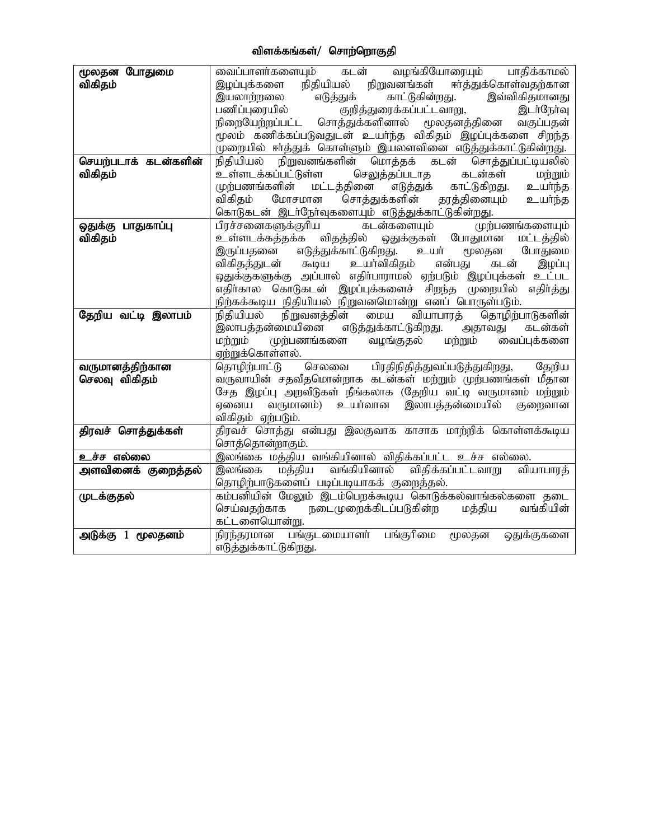| மூலதன போதுமை         | வைப்பாளர்களையும் கடன் வழங்கியோரையும் பாதிக்காமல்                                                                             |
|----------------------|------------------------------------------------------------------------------------------------------------------------------|
| விகிதம்              | இழப்புக்களை நிதியியல் நிறுவனங்கள் ஈர்த்துக்கொள்வதற்கான                                                                       |
|                      | .<br>இயலாற்றலை எடுத்துக்<br>பணிப்புரையில் குறிக்கு<br>துக் காட்டுகின்றது. இவ்விகிதமானது<br>குறித்துரைக்கப்பட்டவாறு, இடா்நோவு |
|                      |                                                                                                                              |
|                      | பணிப்புணர்ப்பட்ட சொத்துக்களினால் மூலதனத்தினை வகுப்பதன்<br>நிறையேற்றப்பட்ட சொத்துக்களினால் மூலதனத்தினை வகுப்பதன்              |
|                      | மூலம் கணிக்கப்படுவதுடன் உயா்ந்த விகிதம் இழப்புக்களை சிறந்த                                                                   |
|                      | முறையில் ஈர்த்துக் கொள்ளும் இயலளவினை எடுத்துக்காட்டுகின்றது.                                                                 |
| செயற்படாக் கடன்களின் | நிதியியல் நிறுவனங்களின் மொத்தக் கடன் சொத்துப்பட்டியலில்                                                                      |
| விகிதம்              | உள்ளடக்கப்பட்டுள்ள செலுத்தப்படாத கடன்கள்<br>மற்றும்                                                                          |
|                      | முற்பணங்களின் மட்டத்தினை எடுத்துக் காட்டுகிறது.<br>உயர்ந்த                                                                   |
|                      | விகிதம் மோசமான சொத்துக்களின் தரத்தினையும்<br>உயர்ந்த                                                                         |
|                      |                                                                                                                              |
| ஒதுக்கு பாதுகாப்பு   | முற்பணங்களையும்                                                                                                              |
| விகிதம்              | உள்ளடக்கத்தக்க விதத்தில் ஒதுக்குகள் போதுமான மட்டத்தில்                                                                       |
|                      | இருப்பதனை எடுத்துக்காட்டுகிறது. உயர் மூலதன போதுமை                                                                            |
|                      | விகிதத்துடன் கூடிய உயர்விகிதம்<br>என்பது<br>கடன்<br>இழப்பு                                                                   |
|                      | ஒதுக்குகளுக்கு அப்பால் எதிா்பாராமல் ஏற்படும் இழப்புக்கள் உட்பட                                                               |
|                      | எதிா்கால கொடுகடன் இழப்புக்களைச் சிறந்த முறையில் எதிா்த்து                                                                    |
|                      | நிற்கக்கூடிய நிதியியல் நிறுவனமொன்று எனப் பொருள்படும்.                                                                        |
| தேறிய வட்டி இலாபம்   | நிதியியல் நிறுவனத்தின் மைய வியாபாரத் தொழிற்பாடுகளின்                                                                         |
|                      | .<br>இலாபத்தன்மையினை எடுத்துக்காட்டுகிறது. அதாவது கடன்கள்                                                                    |
|                      | மற்றும் முற்பணங்களை வழங்குதல் மற்றும் வைப்புக்களை                                                                            |
|                      | ஏற்றுக்கொள்ளல்.                                                                                                              |
| வருமானத்திற்கான      |                                                                                                                              |
| செலவு விகிதம்        | வருவாயின் சதவீதமொன்றாக கடன்கள் மற்றும் முற்பணங்கள் மீதான                                                                     |
|                      | சேத இழப்பு அறவீடுகள் நீங்கலாக (தேறிய வட்டி வருமானம் மற்றும்                                                                  |
|                      | ஏனைய வருமானம்) உயர்வான இலாபத்தன்மையில் குறைவான                                                                               |
|                      | விகிதம் ஏற்படும்.                                                                                                            |
| திரவச் சொத்துக்கள்   | திரவச் சொத்து என்பது இலகுவாக காசாக மாற்றிக் கொள்ளக்கூடிய                                                                     |
|                      | சொத்தொன்றாகும்.                                                                                                              |
| உச்ச எல்லை           | .<br>இலங்கை மத்திய வங்கியினால் விதிக்கப்பட்ட உச்ச எல்லை.                                                                     |
| அளவினைக் குறைத்தல்   | .<br>இலங்கை மத்திய வங்கியினால் விதிக்கப்பட்டவாறு வியாபாரத்                                                                   |
|                      | தொழிற்பாடுகளைப் படிப்படியாகக் குறைத்தல்.<br>கம்பனியின் மேலும் இடம்பெறக்கூடிய கொடுக்கல்வாங்கல்களை தடை                         |
| முடக்குதல்           |                                                                                                                              |
|                      | செய்வதற்காக நடைமுறைக்கிடப்படுகின்ற மத்திய வங்கியின்                                                                          |
|                      | கட்டளையொன்று.                                                                                                                |
| அடுக்கு 1 மூலதனம்    | நிரந்தரமான பங்குடமையாளா் பங்குரிமை<br>மூலதன<br>ஒதுக்குகளை                                                                    |
|                      | எடுத்துக்காட்டுகிறது.                                                                                                        |